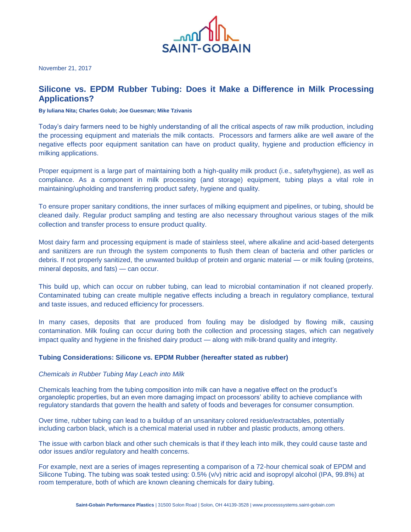

November 21, 2017

# **Silicone vs. EPDM Rubber Tubing: Does it Make a Difference in Milk Processing Applications?**

# **By Iuliana Nita; Charles Golub; Joe Guesman; Mike Tzivanis**

Today's dairy farmers need to be highly understanding of all the critical aspects of raw milk production, including the processing equipment and materials the milk contacts. Processors and farmers alike are well aware of the negative effects poor equipment sanitation can have on product quality, hygiene and production efficiency in milking applications.

Proper equipment is a large part of maintaining both a high-quality milk product (i.e., safety/hygiene), as well as compliance. As a component in milk processing (and storage) equipment, tubing plays a vital role in maintaining/upholding and transferring product safety, hygiene and quality.

To ensure proper sanitary conditions, the inner surfaces of milking equipment and pipelines, or tubing, should be cleaned daily. Regular product sampling and testing are also necessary throughout various stages of the milk collection and transfer process to ensure product quality.

Most dairy farm and processing equipment is made of stainless steel, where alkaline and acid-based detergents and sanitizers are run through the system components to flush them clean of bacteria and other particles or debris. If not properly sanitized, the unwanted buildup of protein and organic material — or milk fouling (proteins, mineral deposits, and fats) — can occur.

This build up, which can occur on rubber tubing, can lead to microbial contamination if not cleaned properly. Contaminated tubing can create multiple negative effects including a breach in regulatory compliance, textural and taste issues, and reduced efficiency for processers.

In many cases, deposits that are produced from fouling may be dislodged by flowing milk, causing contamination. Milk fouling can occur during both the collection and processing stages, which can negatively impact quality and hygiene in the finished dairy product — along with milk-brand quality and integrity.

## **Tubing Considerations: Silicone vs. EPDM Rubber (hereafter stated as rubber)**

## *Chemicals in Rubber Tubing May Leach into Milk*

Chemicals leaching from the tubing composition into milk can have a negative effect on the product's organoleptic properties, but an even more damaging impact on processors' ability to achieve compliance with regulatory standards that govern the health and safety of foods and beverages for consumer consumption.

Over time, rubber tubing can lead to a buildup of an unsanitary colored residue/extractables, potentially including carbon black, which is a chemical material used in rubber and plastic products, among others.

The issue with carbon black and other such chemicals is that if they leach into milk, they could cause taste and odor issues and/or regulatory and health concerns.

For example, next are a series of images representing a comparison of a 72-hour chemical soak of EPDM and Silicone Tubing. The tubing was soak tested using: 0.5% (v/v) nitric acid and isopropyl alcohol (IPA, 99.8%) at room temperature, both of which are known cleaning chemicals for dairy tubing.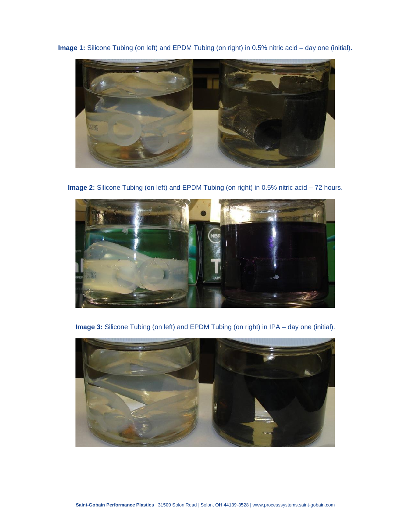**Image 1:** Silicone Tubing (on left) and EPDM Tubing (on right) in 0.5% nitric acid – day one (initial).



**Image 2:** Silicone Tubing (on left) and EPDM Tubing (on right) in 0.5% nitric acid – 72 hours.



**Image 3:** Silicone Tubing (on left) and EPDM Tubing (on right) in IPA – day one (initial).

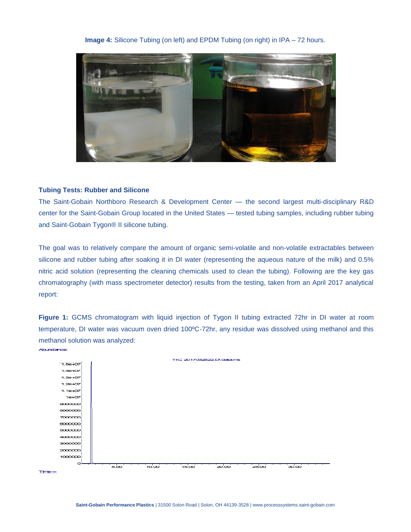# **Image 4:** Silicone Tubing (on left) and EPDM Tubing (on right) in IPA – 72 hours.



# **Tubing Tests: Rubber and Silicone**

The Saint-Gobain Northboro Research & Development Center — the second largest multi-disciplinary R&D center for the Saint-Gobain Group located in the United States — tested tubing samples, including rubber tubing and Saint-Gobain Tygon® II silicone tubing.

The goal was to relatively compare the amount of organic semi-volatile and non-volatile extractables between silicone and rubber tubing after soaking it in DI water (representing the aqueous nature of the milk) and 0.5% nitric acid solution (representing the cleaning chemicals used to clean the tubing). Following are the key gas chromatography (with mass spectrometer detector) results from the testing, taken from an April 2017 analytical report:

**Figure 1:** GCMS chromatogram with liquid injection of Tygon II tubing extracted 72hr in DI water at room temperature, DI water was vacuum oven dried 100ºC-72hr, any residue was dissolved using methanol and this methanol solution was analyzed:

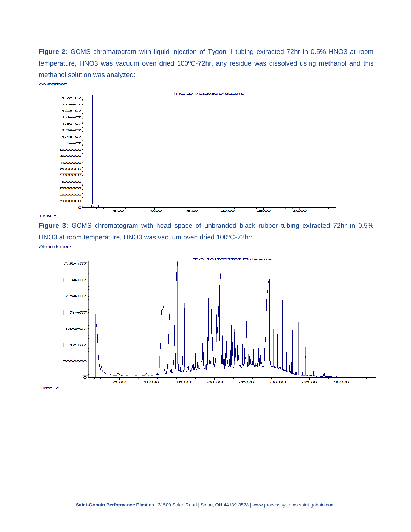**Figure 2:** GCMS chromatogram with liquid injection of Tygon II tubing extracted 72hr in 0.5% HNO3 at room temperature, HNO3 was vacuum oven dried 100ºC-72hr, any residue was dissolved using methanol and this methanol solution was analyzed:



**Figure 3:** GCMS chromatogram with head space of unbranded black rubber tubing extracted 72hr in 0.5% HNO3 at room temperature, HNO3 was vacuum oven dried 100ºC-72hr:



Abundance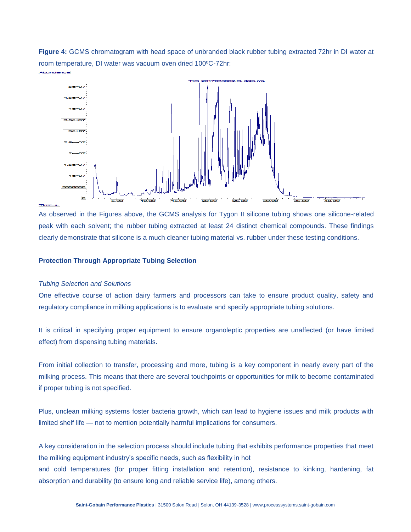**Figure 4:** GCMS chromatogram with head space of unbranded black rubber tubing extracted 72hr in DI water at room temperature, DI water was vacuum oven dried 100ºC-72hr:



As observed in the Figures above, the GCMS analysis for Tygon II silicone tubing shows one silicone-related peak with each solvent; the rubber tubing extracted at least 24 distinct chemical compounds. These findings clearly demonstrate that silicone is a much cleaner tubing material vs. rubber under these testing conditions.

# **Protection Through Appropriate Tubing Selection**

# *Tubing Selection and Solutions*

One effective course of action dairy farmers and processors can take to ensure product quality, safety and regulatory compliance in milking applications is to evaluate and specify appropriate tubing solutions.

It is critical in specifying proper equipment to ensure organoleptic properties are unaffected (or have limited effect) from dispensing tubing materials.

From initial collection to transfer, processing and more, tubing is a key component in nearly every part of the milking process. This means that there are several touchpoints or opportunities for milk to become contaminated if proper tubing is not specified.

Plus, unclean milking systems foster bacteria growth, which can lead to hygiene issues and milk products with limited shelf life — not to mention potentially harmful implications for consumers.

A key consideration in the selection process should include tubing that exhibits performance properties that meet the milking equipment industry's specific needs, such as flexibility in hot and cold temperatures (for proper fitting installation and retention), resistance to kinking, hardening, fat absorption and durability (to ensure long and reliable service life), among others.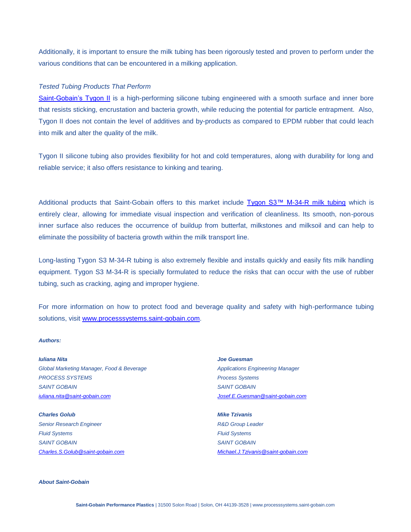Additionally, it is important to ensure the milk tubing has been rigorously tested and proven to perform under the various conditions that can be encountered in a milking application.

# *Tested Tubing Products That Perform*

[Saint-Gobain's Tygon II](http://www.processsystems.saint-gobain.com/tygon-ii-tubing.aspx) is a high-performing silicone tubing engineered with a smooth surface and inner bore that resists sticking, encrustation and bacteria growth, while reducing the potential for particle entrapment. Also, Tygon II does not contain the level of additives and by-products as compared to EPDM rubber that could leach into milk and alter the quality of the milk.

Tygon II silicone tubing also provides flexibility for hot and cold temperatures, along with durability for long and reliable service; it also offers resistance to kinking and tearing.

Additional products that Saint-Gobain offers to this market include [Tygon S3™ M-34-R milk tubing](http://www.processsystems.saint-gobain.com/tygon-s3-m34r-tubing.aspx) which is entirely clear, allowing for immediate visual inspection and verification of cleanliness. Its smooth, non-porous inner surface also reduces the occurrence of buildup from butterfat, milkstones and milksoil and can help to eliminate the possibility of bacteria growth within the milk transport line.

Long-lasting Tygon S3 M-34-R tubing is also extremely flexible and installs quickly and easily fits milk handling equipment. Tygon S3 M-34-R is specially formulated to reduce the risks that can occur with the use of rubber tubing, such as cracking, aging and improper hygiene.

For more information on how to protect food and beverage quality and safety with high-performance tubing solutions, visit [www.processsystems.saint-gobain.com.](http://www.processsystems.saint-gobain.com/)

#### *Authors:*

*Iuliana Nita Global Marketing Manager, Food & Beverage PROCESS SYSTEMS SAINT GOBAIN [iuliana.nita@saint-gobain.com](mailto:iuliana.nita@saint-gobain.com)*

*Charles Golub Senior Research Engineer Fluid Systems SAINT GOBAIN [Charles.S.Golub@saint-gobain.com](mailto:Charles.S.Golub@saint-gobain.com)* *Joe Guesman Applications Engineering Manager Process Systems SAINT GOBAIN [Josef.E.Guesman@saint-gobain.com](mailto:Josef.E.Guesman@saint-gobain.com)*

*Mike Tzivanis R&D Group Leader Fluid Systems SAINT GOBAIN [Michael.J.Tzivanis@saint-gobain.com](mailto:Michael.J.Tzivanis@saint-gobain.com)*

*About Saint-Gobain*